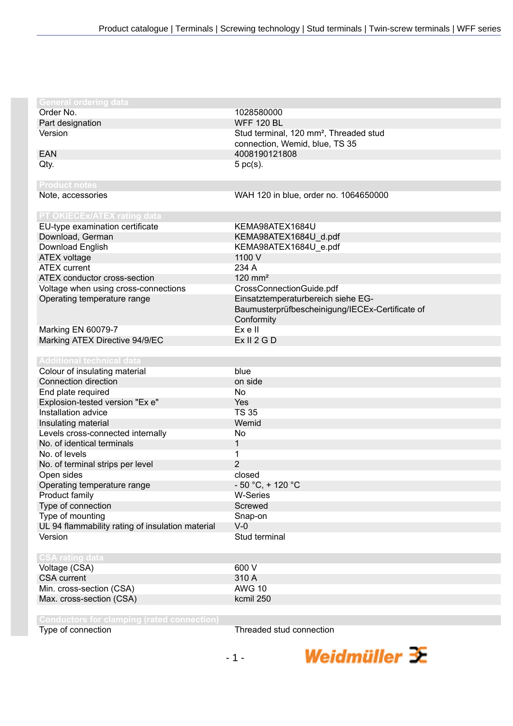| <b>General ordering data</b>                     |                                                    |
|--------------------------------------------------|----------------------------------------------------|
| Order No.                                        | 1028580000                                         |
| Part designation                                 | <b>WFF 120 BL</b>                                  |
| Version                                          | Stud terminal, 120 mm <sup>2</sup> , Threaded stud |
|                                                  | connection, Wemid, blue, TS 35                     |
| <b>EAN</b>                                       | 4008190121808                                      |
| Qty.                                             | $5$ pc(s).                                         |
|                                                  |                                                    |
| <b>Product notes</b>                             |                                                    |
| Note, accessories                                | WAH 120 in blue, order no. 1064650000              |
| PT OKIECEx/ATEX rating data                      |                                                    |
| EU-type examination certificate                  | KEMA98ATEX1684U                                    |
| Download, German                                 | KEMA98ATEX1684U_d.pdf                              |
| Download English                                 | KEMA98ATEX1684U_e.pdf                              |
| <b>ATEX voltage</b>                              | 1100 V                                             |
| <b>ATEX</b> current                              | 234 A                                              |
| ATEX conductor cross-section                     | $120$ mm <sup>2</sup>                              |
| Voltage when using cross-connections             | CrossConnectionGuide.pdf                           |
| Operating temperature range                      | Einsatztemperaturbereich siehe EG-                 |
|                                                  | Baumusterprüfbescheinigung/IECEx-Certificate of    |
|                                                  | Conformity                                         |
| Marking EN 60079-7                               | Ex e II                                            |
| Marking ATEX Directive 94/9/EC                   | Ex II 2 G D                                        |
|                                                  |                                                    |
| <b>Additional technical data</b>                 |                                                    |
| Colour of insulating material                    | blue                                               |
| Connection direction                             | on side                                            |
| End plate required                               | <b>No</b>                                          |
| Explosion-tested version "Ex e"                  | Yes                                                |
| Installation advice                              | <b>TS 35</b>                                       |
| Insulating material                              | Wemid                                              |
| Levels cross-connected internally                | No                                                 |
| No. of identical terminals                       | $\mathbf{1}$                                       |
| No. of levels                                    | 1                                                  |
| No. of terminal strips per level                 | $\overline{2}$                                     |
| Open sides                                       | closed                                             |
| Operating temperature range                      | $-50 °C$ , + 120 °C                                |
| Product family                                   | <b>W-Series</b>                                    |
| Type of connection                               | Screwed                                            |
| Type of mounting                                 | Snap-on                                            |
| UL 94 flammability rating of insulation material | $V-0$                                              |
| Version                                          | Stud terminal                                      |
|                                                  |                                                    |
| <b>CSA rating data</b>                           |                                                    |
| Voltage (CSA)                                    | 600 V                                              |
| <b>CSA</b> current                               | 310 A                                              |
| Min. cross-section (CSA)                         | <b>AWG 10</b>                                      |
| Max. cross-section (CSA)                         | kcmil 250                                          |
|                                                  |                                                    |
|                                                  |                                                    |

**Conductors for clamping (rated connection)**

Threaded stud connection

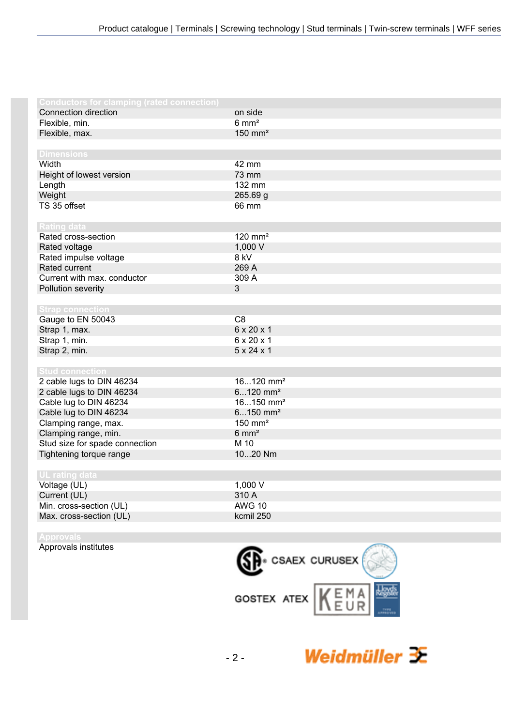| <b>Conductors for clamping (rated connection)</b> |                         |
|---------------------------------------------------|-------------------------|
| Connection direction                              | on side                 |
| Flexible, min.                                    | $6 \text{ mm}^2$        |
| Flexible, max.                                    | $150$ mm <sup>2</sup>   |
|                                                   |                         |
| <b>Dimensions</b>                                 |                         |
| Width                                             | 42 mm                   |
| Height of lowest version                          | 73 mm                   |
| Length                                            | 132 mm                  |
| Weight                                            | 265.69 g                |
| TS 35 offset                                      | 66 mm                   |
|                                                   |                         |
| <b>Rating data</b>                                |                         |
| Rated cross-section                               | $120$ mm <sup>2</sup>   |
| Rated voltage                                     | 1,000 V                 |
| Rated impulse voltage                             | 8 kV                    |
| Rated current                                     | 269 A                   |
| Current with max. conductor                       | 309 A                   |
| Pollution severity                                | $\mathbf{3}$            |
|                                                   |                         |
| <b>Strap connection</b>                           |                         |
| Gauge to EN 50043                                 | C <sub>8</sub>          |
| Strap 1, max.                                     | 6 x 20 x 1              |
| Strap 1, min.                                     | 6 x 20 x 1              |
| Strap 2, min.                                     | $5 \times 24 \times 1$  |
|                                                   |                         |
| <b>Stud connection</b>                            |                         |
| 2 cable lugs to DIN 46234                         | $16120$ mm <sup>2</sup> |
| 2 cable lugs to DIN 46234                         | $6120$ mm <sup>2</sup>  |
| Cable lug to DIN 46234                            | $16150$ mm <sup>2</sup> |
| Cable lug to DIN 46234                            | $6150$ mm <sup>2</sup>  |
| Clamping range, max.                              | $150$ mm <sup>2</sup>   |
| Clamping range, min.                              | $6 \text{ mm}^2$        |
| Stud size for spade connection                    | M 10                    |
| Tightening torque range                           | 1020 Nm                 |
|                                                   |                         |
| UL rating data                                    |                         |
| Voltage (UL)                                      | 1,000 V                 |
| Current (UL)                                      | 310 A                   |
| Min. cross-section (UL)                           | <b>AWG 10</b>           |
| Max. cross-section (UL)                           | kcmil 250               |
|                                                   |                         |

**Approvals** Approvals institutes